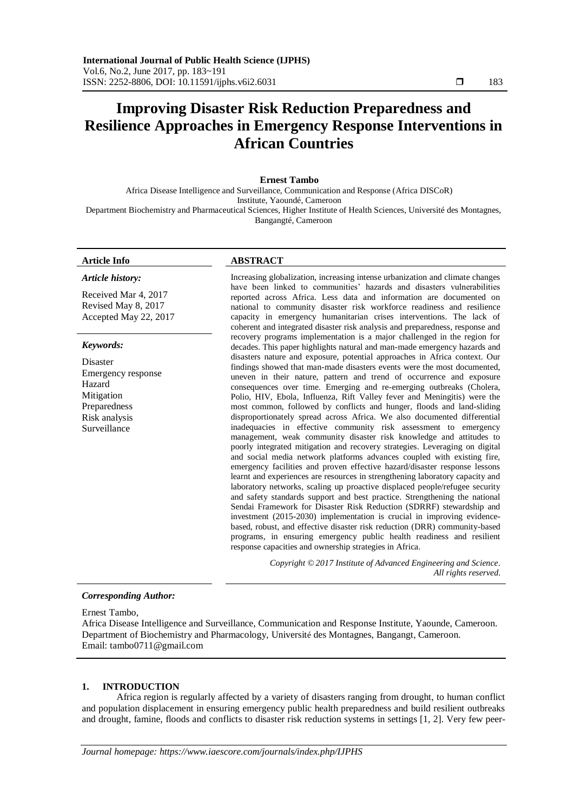# **Improving Disaster Risk Reduction Preparedness and Resilience Approaches in Emergency Response Interventions in African Countries**

#### **Ernest Tambo**

Africa Disease Intelligence and Surveillance, Communication and Response (Africa DISCoR) Institute, Yaoundé, Cameroon Department Biochemistry and Pharmaceutical Sciences, Higher Institute of Health Sciences, Université des Montagnes, Bangangté, Cameroon

# **Article Info ABSTRACT**

*Article history:*

Received Mar 4, 2017 Revised May 8, 2017 Accepted May 22, 2017

#### *Keywords:*

Disaster Emergency response Hazard Mitigation Preparedness Risk analysis **Surveillance** 

Increasing globalization, increasing intense urbanization and climate changes have been linked to communities' hazards and disasters vulnerabilities reported across Africa. Less data and information are documented on national to community disaster risk workforce readiness and resilience capacity in emergency humanitarian crises interventions. The lack of coherent and integrated disaster risk analysis and preparedness, response and recovery programs implementation is a major challenged in the region for decades. This paper highlights natural and man-made emergency hazards and disasters nature and exposure, potential approaches in Africa context. Our findings showed that man-made disasters events were the most documented, uneven in their nature, pattern and trend of occurrence and exposure consequences over time. Emerging and re-emerging outbreaks (Cholera, Polio, HIV, Ebola, Influenza, Rift Valley fever and Meningitis) were the most common, followed by conflicts and hunger, floods and land-sliding disproportionately spread across Africa. We also documented differential inadequacies in effective community risk assessment to emergency management, weak community disaster risk knowledge and attitudes to poorly integrated mitigation and recovery strategies. Leveraging on digital and social media network platforms advances coupled with existing fire, emergency facilities and proven effective hazard/disaster response lessons learnt and experiences are resources in strengthening laboratory capacity and laboratory networks, scaling up proactive displaced people/refugee security and safety standards support and best practice. Strengthening the national Sendai Framework for Disaster Risk Reduction (SDRRF) stewardship and investment (2015-2030) implementation is crucial in improving evidencebased, robust, and effective disaster risk reduction (DRR) community-based programs, in ensuring emergency public health readiness and resilient response capacities and ownership strategies in Africa.

> *Copyright © 2017 Institute of Advanced Engineering and Science. All rights reserved.*

# *Corresponding Author:*

Ernest Tambo,

Africa Disease Intelligence and Surveillance, Communication and Response Institute, Yaounde, Cameroon. Department of Biochemistry and Pharmacology, Université des Montagnes, Bangangt, Cameroon. Email: [tambo0711@gmail.com](mailto:tambo0711@gmail.com)

#### **1. INTRODUCTION**

Africa region is regularly affected by a variety of disasters ranging from drought, to human conflict and population displacement in ensuring emergency public health preparedness and build resilient outbreaks and drought, famine, floods and conflicts to disaster risk reduction systems in settings [1, 2]. Very few peer-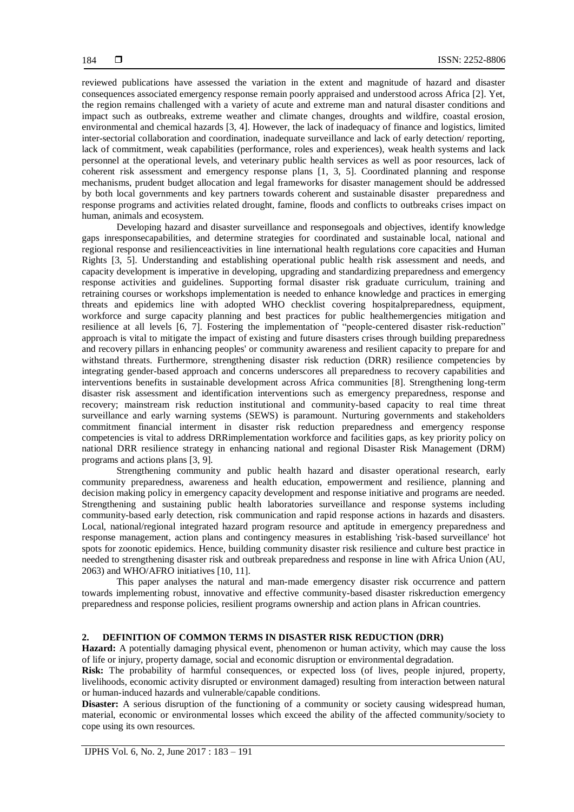reviewed publications have assessed the variation in the extent and magnitude of hazard and disaster consequences associated emergency response remain poorly appraised and understood across Africa [2]. Yet, the region remains challenged with a variety of acute and extreme man and natural disaster conditions and impact such as outbreaks, extreme weather and climate changes, droughts and wildfire, coastal erosion, environmental and chemical hazards [3, 4]. However, the lack of inadequacy of finance and logistics, limited inter-sectorial collaboration and coordination, inadequate surveillance and lack of early detection/ reporting, lack of commitment, weak capabilities (performance, roles and experiences), weak health systems and lack personnel at the operational levels, and veterinary public health services as well as poor resources, lack of coherent risk assessment and emergency response plans [1, 3, 5]. Coordinated planning and response mechanisms, prudent budget allocation and legal frameworks for disaster management should be addressed by both local governments and key partners towards coherent and sustainable disaster preparedness and response programs and activities related drought, famine, floods and conflicts to outbreaks crises impact on human, animals and ecosystem.

Developing hazard and disaster surveillance and responsegoals and objectives, identify knowledge gaps inresponsecapabilities, and determine strategies for coordinated and sustainable local, national and regional response and resilienceactivities in line international health regulations core capacities and Human Rights [3, 5]. Understanding and establishing operational public health risk assessment and needs, and capacity development is imperative in developing, upgrading and standardizing preparedness and emergency response activities and guidelines. Supporting formal disaster risk graduate curriculum, training and retraining courses or workshops implementation is needed to enhance knowledge and practices in emerging threats and epidemics line with adopted WHO checklist covering hospitalpreparedness, equipment, workforce and surge capacity planning and best practices for public healthemergencies mitigation and resilience at all levels [6, 7]. Fostering the implementation of "people-centered disaster risk-reduction" approach is vital to mitigate the impact of existing and future disasters crises through building preparedness and recovery pillars in enhancing peoples' or community awareness and resilient capacity to prepare for and withstand threats. Furthermore, strengthening disaster risk reduction (DRR) resilience competencies by integrating gender-based approach and concerns underscores all preparedness to recovery capabilities and interventions benefits in sustainable development across Africa communities [8]. Strengthening long-term disaster risk assessment and identification interventions such as emergency preparedness, response and recovery; mainstream risk reduction institutional and community-based capacity to real time threat surveillance and early warning systems (SEWS) is paramount. Nurturing governments and stakeholders commitment financial interment in disaster risk reduction preparedness and emergency response competencies is vital to address DRRimplementation workforce and facilities gaps, as key priority policy on national DRR resilience strategy in enhancing national and regional Disaster Risk Management (DRM) programs and actions plans [3, 9].

Strengthening community and public health hazard and disaster operational research, early community preparedness, awareness and health education, empowerment and resilience, planning and decision making policy in emergency capacity development and response initiative and programs are needed. Strengthening and sustaining public health laboratories surveillance and response systems including community-based early detection, risk communication and rapid response actions in hazards and disasters. Local, national/regional integrated hazard program resource and aptitude in emergency preparedness and response management, action plans and contingency measures in establishing 'risk-based surveillance' hot spots for zoonotic epidemics. Hence, building community disaster risk resilience and culture best practice in needed to strengthening disaster risk and outbreak preparedness and response in line with Africa Union (AU, 2063) and WHO/AFRO initiatives [10, 11].

This paper analyses the natural and man-made emergency disaster risk occurrence and pattern towards implementing robust, innovative and effective community-based disaster riskreduction emergency preparedness and response policies, resilient programs ownership and action plans in African countries.

# **2. DEFINITION OF COMMON TERMS IN DISASTER RISK REDUCTION (DRR)**

**Hazard:** A potentially damaging physical event, phenomenon or human activity, which may cause the loss of life or injury, property damage, social and economic disruption or environmental degradation.

**Risk:** The probability of harmful consequences, or expected loss (of lives, people injured, property, livelihoods, economic activity disrupted or environment damaged) resulting from interaction between natural or human-induced hazards and vulnerable/capable conditions.

**Disaster:** A serious disruption of the functioning of a community or society causing widespread human, material, economic or environmental losses which exceed the ability of the affected community/society to cope using its own resources.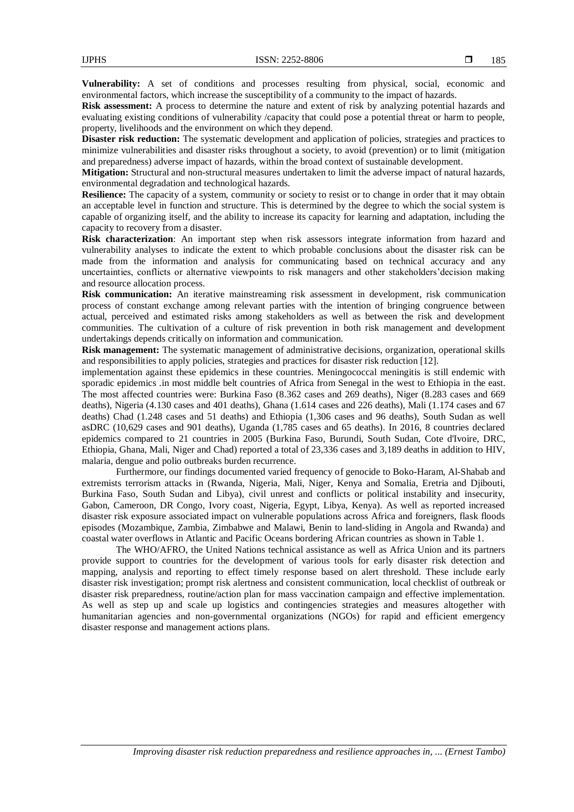**Vulnerability:** A set of conditions and processes resulting from physical, social, economic and environmental factors, which increase the susceptibility of a community to the impact of hazards.

**Risk assessment:** A process to determine the nature and extent of risk by analyzing potential hazards and evaluating existing conditions of vulnerability /capacity that could pose a potential threat or harm to people, property, livelihoods and the environment on which they depend.

**Disaster risk reduction:** The systematic development and application of policies, strategies and practices to minimize vulnerabilities and disaster risks throughout a society, to avoid (prevention) or to limit (mitigation and preparedness) adverse impact of hazards, within the broad context of sustainable development.

**Mitigation:** Structural and non-structural measures undertaken to limit the adverse impact of natural hazards, environmental degradation and technological hazards.

**Resilience:** The capacity of a system, community or society to resist or to change in order that it may obtain an acceptable level in function and structure. This is determined by the degree to which the social system is capable of organizing itself, and the ability to increase its capacity for learning and adaptation, including the capacity to recovery from a disaster.

**Risk characterization**: An important step when risk assessors integrate information from hazard and vulnerability analyses to indicate the extent to which probable conclusions about the disaster risk can be made from the information and analysis for communicating based on technical accuracy and any uncertainties, conflicts or alternative viewpoints to risk managers and other stakeholders'decision making and resource allocation process.

**Risk communication:** An iterative mainstreaming risk assessment in development, risk communication process of constant exchange among relevant parties with the intention of bringing congruence between actual, perceived and estimated risks among stakeholders as well as between the risk and development communities. The cultivation of a culture of risk prevention in both risk management and development undertakings depends critically on information and communication.

**Risk management:** The systematic management of administrative decisions, organization, operational skills and responsibilities to apply policies, strategies and practices for disaster risk reduction [12].

implementation against these epidemics in these countries. Meningococcal meningitis is still endemic with sporadic epidemics .in most middle belt countries of Africa from Senegal in the west to Ethiopia in the east. The most affected countries were: Burkina Faso (8.362 cases and 269 deaths), Niger (8.283 cases and 669 deaths), Nigeria (4.130 cases and 401 deaths), Ghana (1.614 cases and 226 deaths), Mali (1.174 cases and 67 deaths) Chad (1.248 cases and 51 deaths) and Ethiopia (1,306 cases and 96 deaths), South Sudan as well asDRC (10,629 cases and 901 deaths), Uganda (1,785 cases and 65 deaths). In 2016, 8 countries declared epidemics compared to 21 countries in 2005 (Burkina Faso, Burundi, South Sudan, Cote d'Ivoire, DRC, Ethiopia, Ghana, Mali, Niger and Chad) reported a total of 23,336 cases and 3,189 deaths in addition to HIV, malaria, dengue and polio outbreaks burden recurrence.

Furthermore, our findings documented varied frequency of genocide to Boko-Haram, Al-Shabab and extremists terrorism attacks in (Rwanda, Nigeria, Mali, Niger, Kenya and Somalia, Eretria and Djibouti, Burkina Faso, South Sudan and Libya), civil unrest and conflicts or political instability and insecurity, Gabon, Cameroon, DR Congo, Ivory coast, Nigeria, Egypt, Libya, Kenya). As well as reported increased disaster risk exposure associated impact on vulnerable populations across Africa and foreigners, flask floods episodes (Mozambique, Zambia, Zimbabwe and Malawi, Benin to land-sliding in Angola and Rwanda) and coastal water overflows in Atlantic and Pacific Oceans bordering African countries as shown in Table 1.

The WHO/AFRO, the United Nations technical assistance as well as Africa Union and its partners provide support to countries for the development of various tools for early disaster risk detection and mapping, analysis and reporting to effect timely response based on alert threshold. These include early disaster risk investigation; prompt risk alertness and consistent communication, local checklist of outbreak or disaster risk preparedness, routine/action plan for mass vaccination campaign and effective implementation. As well as step up and scale up logistics and contingencies strategies and measures altogether with humanitarian agencies and non-governmental organizations (NGOs) for rapid and efficient emergency disaster response and management actions plans.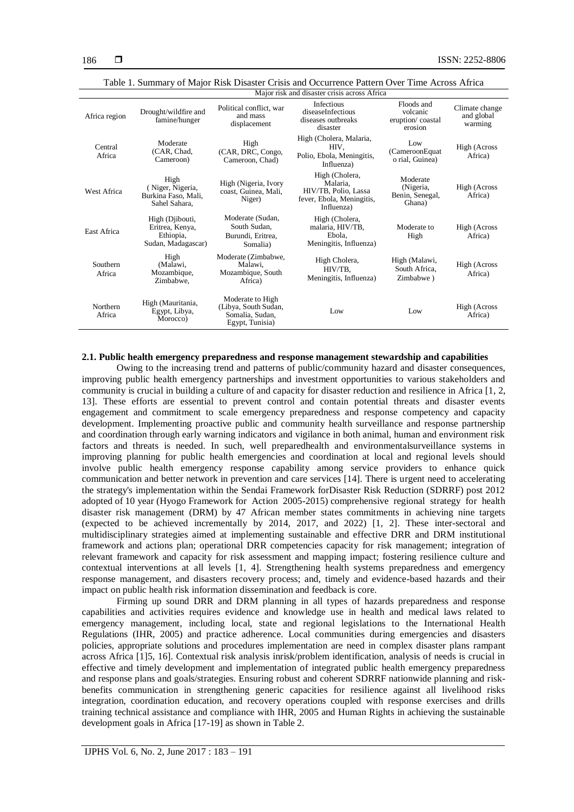| Africa region      | Drought/wildfire and<br>famine/hunger                                 | Political conflict, war<br>and mass<br>displacement                            | Infectious<br>diseaseInfectious<br>diseases outbreaks<br>disaster                             | Floods and<br>volcanic<br>eruption/coastal<br>erosion | Climate change<br>and global<br>warming |
|--------------------|-----------------------------------------------------------------------|--------------------------------------------------------------------------------|-----------------------------------------------------------------------------------------------|-------------------------------------------------------|-----------------------------------------|
| Central<br>Africa  | Moderate<br>(CAR, Chad,<br>Cameroon)                                  | High<br>(CAR, DRC, Congo,<br>Cameroon, Chad)                                   | High (Cholera, Malaria,<br>HIV.<br>Polio, Ebola, Meningitis,<br>Influenza)                    | Low<br>(CameroonEquat<br>o rial, Guinea)              | High (Across<br>Africa)                 |
| West Africa        | High<br>(Niger, Nigeria,<br>Burkina Faso, Mali,<br>Sahel Sahara,      | High (Nigeria, Ivory<br>coast, Guinea, Mali,<br>Niger)                         | High (Cholera,<br>Malaria.<br>HIV/TB, Polio, Lassa<br>fever, Ebola, Meningitis,<br>Influenza) | Moderate<br>(Nigeria,<br>Benin, Senegal,<br>Ghana)    | High (Across<br>Africa)                 |
| East Africa        | High (Djibouti,<br>Eritrea, Kenya,<br>Ethiopia,<br>Sudan, Madagascar) | Moderate (Sudan,<br>South Sudan.<br>Burundi, Eritrea,<br>Somalia)              | High (Cholera,<br>malaria, HIV/TB,<br>Ebola.<br>Meningitis, Influenza)                        | Moderate to<br>High                                   | High (Across<br>Africa)                 |
| Southern<br>Africa | High<br>(Malawi,<br>Mozambique,<br>Zimbabwe.                          | Moderate (Zimbabwe,<br>Malawi.<br>Mozambique, South<br>Africa)                 | High Cholera,<br>HIV/TB.<br>Meningitis, Influenza)                                            | High (Malawi,<br>South Africa.<br>Zimbabwe)           | High (Across<br>Africa)                 |
| Northern<br>Africa | High (Mauritania,<br>Egypt, Libya,<br>Morocco)                        | Moderate to High<br>(Libya, South Sudan,<br>Somalia, Sudan,<br>Egypt, Tunisia) | Low                                                                                           | Low                                                   | High (Across<br>Africa)                 |

Table 1. Summary of Major Risk Disaster Crisis and Occurrence Pattern Over Time Across Africa Major risk and disaster crisis across Africa

# **2.1. Public health emergency preparedness and response management stewardship and capabilities**

Owing to the increasing trend and patterns of public/community hazard and disaster consequences, improving public health emergency partnerships and investment opportunities to various stakeholders and community is crucial in building a culture of and capacity for disaster reduction and resilience in Africa [1, 2, 13]. These efforts are essential to prevent control and contain potential threats and disaster events engagement and commitment to scale emergency preparedness and response competency and capacity development. Implementing proactive public and community health surveillance and response partnership and coordination through early warning indicators and vigilance in both animal, human and environment risk factors and threats is needed. In such, well preparedhealth and environmentalsurveillance systems in improving planning for public health emergencies and coordination at local and regional levels should involve public health emergency response capability among service providers to enhance quick communication and better network in prevention and care services [14]. There is urgent need to accelerating the strategy's implementation within the Sendai Framework forDisaster Risk Reduction (SDRRF) post 2012 adopted of 10 year (Hyogo Framework for Action 2005-2015) comprehensive regional strategy for health disaster risk management (DRM) by 47 African member states commitments in achieving nine targets (expected to be achieved incrementally by 2014, 2017, and 2022) [1, 2]. These inter-sectoral and multidisciplinary strategies aimed at implementing sustainable and effective DRR and DRM institutional framework and actions plan; operational DRR competencies capacity for risk management; integration of relevant framework and capacity for risk assessment and mapping impact; fostering resilience culture and contextual interventions at all levels [1, 4]. Strengthening health systems preparedness and emergency response management, and disasters recovery process; and, timely and evidence-based hazards and their impact on public health risk information dissemination and feedback is core.

Firming up sound DRR and DRM planning in all types of hazards preparedness and response capabilities and activities requires evidence and knowledge use in health and medical laws related to emergency management, including local, state and regional legislations to the International Health Regulations (IHR, 2005) and practice adherence. Local communities during emergencies and disasters policies, appropriate solutions and procedures implementation are need in complex disaster plans rampant across Africa [1]5, 16]. Contextual risk analysis inrisk/problem identification, analysis of needs is crucial in effective and timely development and implementation of integrated public health emergency preparedness and response plans and goals/strategies. Ensuring robust and coherent SDRRF nationwide planning and riskbenefits communication in strengthening generic capacities for resilience against all livelihood risks integration, coordination education, and recovery operations coupled with response exercises and drills training technical assistance and compliance with IHR, 2005 and Human Rights in achieving the sustainable development goals in Africa [17-19] as shown in Table 2.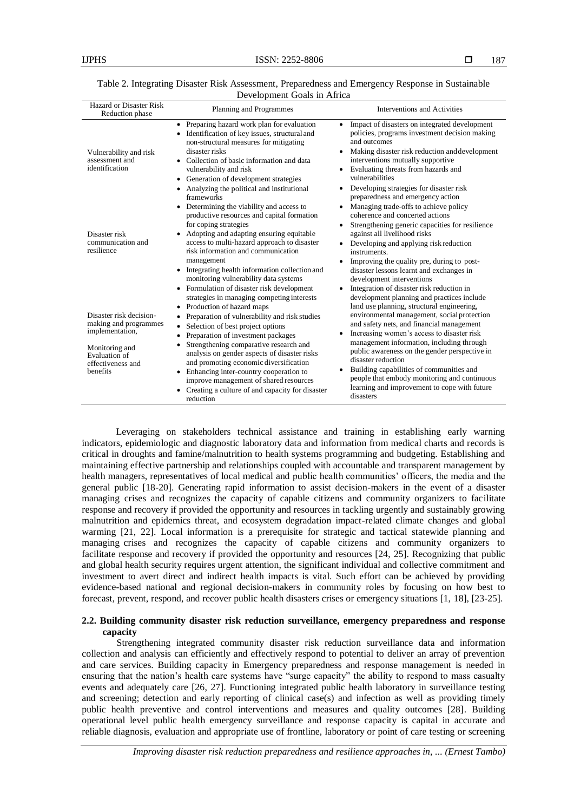| Table 2. Integrating Disaster Risk Assessment, Preparedness and Emergency Response in Sustainable |  |  |  |  |  |  |
|---------------------------------------------------------------------------------------------------|--|--|--|--|--|--|
| Development Goals in Africa                                                                       |  |  |  |  |  |  |

| Hazard or Disaster Risk<br>Reduction phase                                                                                              | Planning and Programmes                                                                                                                                                                                                                                                                                                                                                                                                                                                  | Interventions and Activities                                                                                                                                                                                                                                                                                                                                                                                                                                                                                        |
|-----------------------------------------------------------------------------------------------------------------------------------------|--------------------------------------------------------------------------------------------------------------------------------------------------------------------------------------------------------------------------------------------------------------------------------------------------------------------------------------------------------------------------------------------------------------------------------------------------------------------------|---------------------------------------------------------------------------------------------------------------------------------------------------------------------------------------------------------------------------------------------------------------------------------------------------------------------------------------------------------------------------------------------------------------------------------------------------------------------------------------------------------------------|
| Vulnerability and risk<br>assessment and<br>identification                                                                              | • Preparing hazard work plan for evaluation<br>• Identification of key issues, structural and<br>non-structural measures for mitigating<br>disaster risks<br>Collection of basic information and data<br>vulnerability and risk<br>• Generation of development strategies<br>Analyzing the political and institutional<br>$\bullet$                                                                                                                                      | Impact of disasters on integrated development<br>$\bullet$<br>policies, programs investment decision making<br>and outcomes<br>Making disaster risk reduction and development<br>interventions mutually supportive<br>Evaluating threats from hazards and<br>٠<br>vulnerabilities<br>Developing strategies for disaster risk                                                                                                                                                                                        |
| Disaster risk<br>communication and<br>resilience                                                                                        | frameworks<br>• Determining the viability and access to<br>productive resources and capital formation<br>for coping strategies<br>Adopting and adapting ensuring equitable<br>access to multi-hazard approach to disaster<br>risk information and communication<br>management<br>• Integrating health information collection and<br>monitoring vulnerability data systems<br>• Formulation of disaster risk development<br>strategies in managing competing interests    | preparedness and emergency action<br>Managing trade-offs to achieve policy<br>$\bullet$<br>coherence and concerted actions<br>Strengthening generic capacities for resilience<br>against all livelihood risks<br>Developing and applying risk reduction<br>$\bullet$<br>instruments.<br>Improving the quality pre, during to post-<br>disaster lessons learnt and exchanges in<br>development interventions<br>Integration of disaster risk reduction in<br>$\bullet$<br>development planning and practices include |
| Disaster risk decision-<br>making and programmes<br>implementation,<br>Monitoring and<br>Evaluation of<br>effectiveness and<br>benefits | Production of hazard maps<br>$\bullet$<br>Preparation of vulnerability and risk studies<br>٠<br>Selection of best project options<br>٠<br>Preparation of investment packages<br>Strengthening comparative research and<br>analysis on gender aspects of disaster risks<br>and promoting economic diversification<br>• Enhancing inter-country cooperation to<br>improve management of shared resources<br>• Creating a culture of and capacity for disaster<br>reduction | land use planning, structural engineering,<br>environmental management, social protection<br>and safety nets, and financial management<br>Increasing women's access to disaster risk<br>management information, including through<br>public awareness on the gender perspective in<br>disaster reduction<br>Building capabilities of communities and<br>٠<br>people that embody monitoring and continuous<br>learning and improvement to cope with future<br>disasters                                              |

Leveraging on stakeholders technical assistance and training in establishing early warning indicators, epidemiologic and diagnostic laboratory data and information from medical charts and records is critical in droughts and famine/malnutrition to health systems programming and budgeting. Establishing and maintaining effective partnership and relationships coupled with accountable and transparent management by health managers, representatives of local medical and public health communities' officers, the media and the general public [18-20]. Generating rapid information to assist decision-makers in the event of a disaster managing crises and recognizes the capacity of capable citizens and community organizers to facilitate response and recovery if provided the opportunity and resources in tackling urgently and sustainably growing malnutrition and epidemics threat, and ecosystem degradation impact-related climate changes and global warming [21, 22]. Local information is a prerequisite for strategic and tactical statewide planning and managing crises and recognizes the capacity of capable citizens and community organizers to facilitate response and recovery if provided the opportunity and resources [24, 25]. Recognizing that public and global health security requires urgent attention, the significant individual and collective commitment and investment to avert direct and indirect health impacts is vital. Such effort can be achieved by providing evidence-based national and regional decision-makers in community roles by focusing on how best to forecast, prevent, respond, and recover public health disasters crises or emergency situations [1, 18], [23-25].

# **2.2. Building community disaster risk reduction surveillance, emergency preparedness and response capacity**

Strengthening integrated community disaster risk reduction surveillance data and information collection and analysis can efficiently and effectively respond to potential to deliver an array of prevention and care services. Building capacity in Emergency preparedness and response management is needed in ensuring that the nation's health care systems have "surge capacity" the ability to respond to mass casualty events and adequately care [26, 27]. Functioning integrated public health laboratory in surveillance testing and screening; detection and early reporting of clinical case(s) and infection as well as providing timely public health preventive and control interventions and measures and quality outcomes [28]. Building operational level public health emergency surveillance and response capacity is capital in accurate and reliable diagnosis, evaluation and appropriate use of frontline, laboratory or point of care testing or screening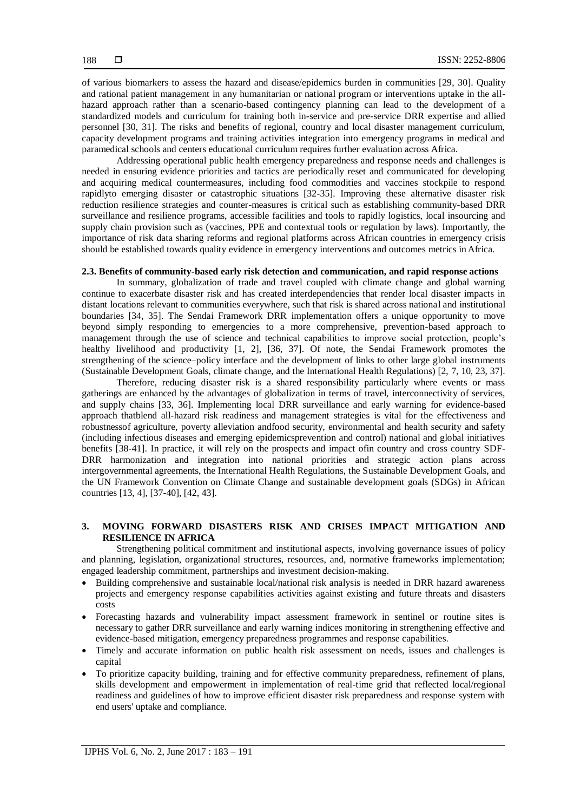of various biomarkers to assess the hazard and disease/epidemics burden in communities [29, 30]. Quality and rational patient management in any humanitarian or national program or interventions uptake in the allhazard approach rather than a scenario-based contingency planning can lead to the development of a standardized models and curriculum for training both in-service and pre-service DRR expertise and allied personnel [30, 31]. The risks and benefits of regional, country and local disaster management curriculum, capacity development programs and training activities integration into emergency programs in medical and paramedical schools and centers educational curriculum requires further evaluation across Africa.

Addressing operational public health emergency preparedness and response needs and challenges is needed in ensuring evidence priorities and tactics are periodically reset and communicated for developing and acquiring medical countermeasures, including food commodities and vaccines stockpile to respond rapidlyto emerging disaster or catastrophic situations [32-35]. Improving these alternative disaster risk reduction resilience strategies and counter-measures is critical such as establishing community-based DRR surveillance and resilience programs, accessible facilities and tools to rapidly logistics, local insourcing and supply chain provision such as (vaccines, PPE and contextual tools or regulation by laws). Importantly, the importance of risk data sharing reforms and regional platforms across African countries in emergency crisis should be established towards quality evidence in emergency interventions and outcomes metrics in Africa.

# **2.3. Benefits of community-based early risk detection and communication, and rapid response actions**

In summary, globalization of trade and travel coupled with climate change and global warning continue to exacerbate disaster risk and has created interdependencies that render local disaster impacts in distant locations relevant to communities everywhere, such that risk is shared across national and institutional boundaries [34, 35]. The Sendai Framework DRR implementation offers a unique opportunity to move beyond simply responding to emergencies to a more comprehensive, prevention-based approach to management through the use of science and technical capabilities to improve social protection, people's healthy livelihood and productivity [1, 2], [36, 37]. Of note, the Sendai Framework promotes the strengthening of the science–policy interface and the development of links to other large global instruments (Sustainable Development Goals, climate change, and the International Health Regulations) [2, 7, 10, 23, 37].

Therefore, reducing disaster risk is a shared responsibility particularly where events or mass gatherings are enhanced by the advantages of globalization in terms of travel, interconnectivity of services, and supply chains [33, 36]. Implementing local DRR surveillance and early warning for evidence-based approach thatblend all-hazard risk readiness and management strategies is vital for the effectiveness and robustnessof agriculture, poverty alleviation andfood security, environmental and health security and safety (including infectious diseases and emerging epidemicsprevention and control) national and global initiatives benefits [38-41]. In practice, it will rely on the prospects and impact ofin country and cross country SDF-DRR harmonization and integration into national priorities and strategic action plans across intergovernmental agreements, the International Health Regulations, the Sustainable Development Goals, and the UN Framework Convention on Climate Change and sustainable development goals (SDGs) in African countries [13, 4], [37-40], [42, 43].

# **3. MOVING FORWARD DISASTERS RISK AND CRISES IMPACT MITIGATION AND RESILIENCE IN AFRICA**

Strengthening political commitment and institutional aspects, involving governance issues of policy and planning, legislation, organizational structures, resources, and, normative frameworks implementation; engaged leadership commitment, partnerships and investment decision-making.

- Building comprehensive and sustainable local/national risk analysis is needed in DRR hazard awareness projects and emergency response capabilities activities against existing and future threats and disasters costs
- Forecasting hazards and vulnerability impact assessment framework in sentinel or routine sites is necessary to gather DRR surveillance and early warning indices monitoring in strengthening effective and evidence-based mitigation, emergency preparedness programmes and response capabilities.
- Timely and accurate information on public health risk assessment on needs, issues and challenges is capital
- To prioritize capacity building, training and for effective community preparedness, refinement of plans, skills development and empowerment in implementation of real-time grid that reflected local/regional readiness and guidelines of how to improve efficient disaster risk preparedness and response system with end users' uptake and compliance.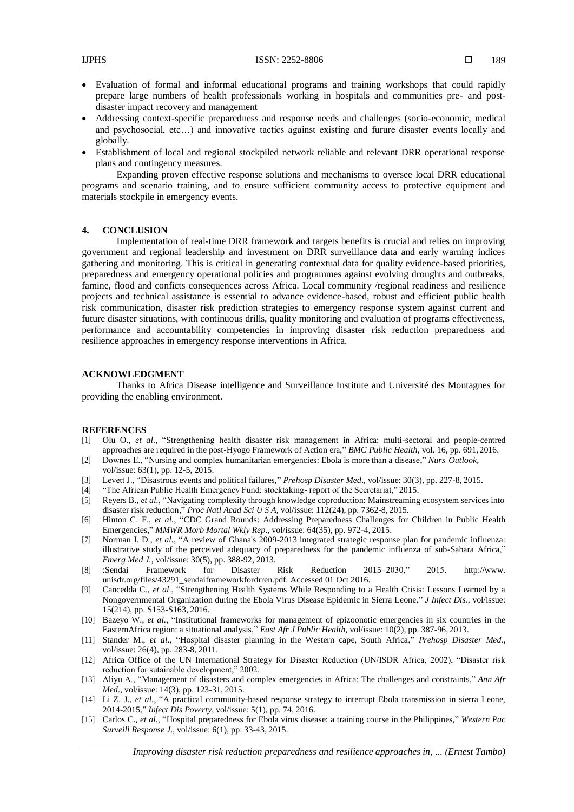- Evaluation of formal and informal educational programs and training workshops that could rapidly prepare large numbers of health professionals working in hospitals and communities pre- and postdisaster impact recovery and management
- Addressing context-specific preparedness and response needs and challenges (socio-economic, medical and psychosocial, etc…) and innovative tactics against existing and furure disaster events locally and globally.
- Establishment of local and regional stockpiled network reliable and relevant DRR operational response plans and contingency measures.

Expanding proven effective response solutions and mechanisms to oversee local DRR educational programs and scenario training, and to ensure sufficient community access to protective equipment and materials stockpile in emergency events.

# **4. CONCLUSION**

Implementation of real-time DRR framework and targets benefits is crucial and relies on improving government and regional leadership and investment on DRR surveillance data and early warning indices gathering and monitoring. This is critical in generating contextual data for quality evidence-based priorities, preparedness and emergency operational policies and programmes against evolving droughts and outbreaks, famine, flood and conficts consequences across Africa. Local community /regional readiness and resilience projects and technical assistance is essential to advance evidence-based, robust and efficient public health risk communication, disaster risk prediction strategies to emergency response system against current and future disaster situations, with continuous drills, quality monitoring and evaluation of programs effectiveness, performance and accountability competencies in improving disaster risk reduction preparedness and resilience approaches in emergency response interventions in Africa.

# **ACKNOWLEDGMENT**

Thanks to Africa Disease intelligence and Surveillance Institute and Université des Montagnes for providing the enabling environment.

#### **REFERENCES**

- [1] Olu O., *et al.*, ["Strengthening health disaster risk management in Africa: multi-sectoral and people-centred](https://www.ncbi.nlm.nih.gov/pubmed/27484354) [approaches are required in the post-Hyogo Framework of Action era,"](https://www.ncbi.nlm.nih.gov/pubmed/27484354) *BMC Public Health,* vol. 16, pp. 691,2016.
- [2] Downes E., ["Nursing and complex humanitarian emergencies: Ebola is more than a disease,](https://www.ncbi.nlm.nih.gov/pubmed/25645474)" *Nurs Outlook,* vol/issue: 63(1), pp. 12-5, 2015.
- [3] Levett J., ["Disastrous events and political failures,"](http://www.ncbi.nlm.nih.gov/pubmed/25882131) *Prehosp Disaster Med*., vol/issue: 30(3), pp. 227-8, 2015.
- [4] "The African Public Health Emergency Fund: stocktaking- report of the Secretariat," 2015.
- [5] Reyers B., *et al.*, ["Navigating complexity through knowledge coproduction: Mainstreaming ecosystem services into](https://www.ncbi.nlm.nih.gov/pubmed/26082541) [disaster risk reduction,](https://www.ncbi.nlm.nih.gov/pubmed/26082541)" *Proc Natl Acad Sci U S A,* vol/issue: 112(24), pp. 7362-8, 2015.
- [6] Hinton C. F., *et al.*, ["CDC Grand Rounds: Addressing Preparedness Challenges for Children in Public Health](https://www.ncbi.nlm.nih.gov/pubmed/26356838) [Emergencies,](https://www.ncbi.nlm.nih.gov/pubmed/26356838)" *MMWR Morb Mortal Wkly Rep*., vol/issue: 64(35), pp. 972-4, 2015.
- [7] Norman I. D., *et al.*, ["A review of Ghana's 2009-2013 integrated strategic response plan for pandemic influenza:](https://www.ncbi.nlm.nih.gov/pubmed/22843551) [illustrative study of the perceived adequacy of preparedness for the pandemic influenza of sub-Sahara Africa,"](https://www.ncbi.nlm.nih.gov/pubmed/22843551) *Emerg Med J.*, vol/issue: 30(5), pp. 388-92, 2013.
- [8] :Sendai Framework for Disaster Risk Reduction 2015–2030," 2015. [http://www.](http://www/) unisdr.org/files/43291\_sendaiframeworkfordrren.pdf. Accessed 01 Oct 2016.
- [9] Cancedda C., *et al*., ["Strengthening Health Systems While Responding to a Health Crisis: Lessons Learned by a](https://www.ncbi.nlm.nih.gov/pubmed/27688219) [Nongovernmental Organization during the Ebola Virus Disease Epidemic in Sierra Leone,"](https://www.ncbi.nlm.nih.gov/pubmed/27688219) *J Infect Dis*., vol/issue: 15(214), pp. S153-S163, 2016.
- [10] Bazeyo W., *et al.*, ["Institutional frameworks for management of epizoonotic emergencies in six countries in the](https://www.ncbi.nlm.nih.gov/pubmed/25130018) [EasternAfrica region: a situational analysis,"](https://www.ncbi.nlm.nih.gov/pubmed/25130018) *East Afr J Public Health,* vol/issue: 10(2), pp. 387-96, 2013.
- [11] Stander M., *et al.*, ["Hospital disaster planning in the Western cape, South Africa,"](https://www.ncbi.nlm.nih.gov/pubmed/22008453) *Prehosp Disaster Med*., vol/issue: 26(4), pp. 283-8, 2011.
- [12] Africa Office of the UN International Strategy for Disaster Reduction (UN/ISDR Africa, 2002), "Disaster risk reduction for sutainable development," 2002.
- [13] Aliyu A., ["Management of disasters and complex emergencies in Africa: The challenges and constraints,](https://www.ncbi.nlm.nih.gov/pubmed/26021392)" *Ann Afr Med*., vol/issue: 14(3), pp. 123-31, 2015.
- [14] Li Z. J., *et al.*, ["A practical community-based response strategy to interrupt Ebola transmission in sierra Leone,](https://www.ncbi.nlm.nih.gov/pubmed/27491387) [2014-2015,"](https://www.ncbi.nlm.nih.gov/pubmed/27491387) *Infect Dis Poverty*, vol/issue: 5(1), pp. 74, 2016.
- [15] Carlos C., *et al.*, ["Hospital preparedness for Ebola virus disease:](https://www.ncbi.nlm.nih.gov/pubmed/25960920) a training course in the Philippines," *Western Pac Surveill Response J*., vol/issue: 6(1), pp. 33-43, 2015.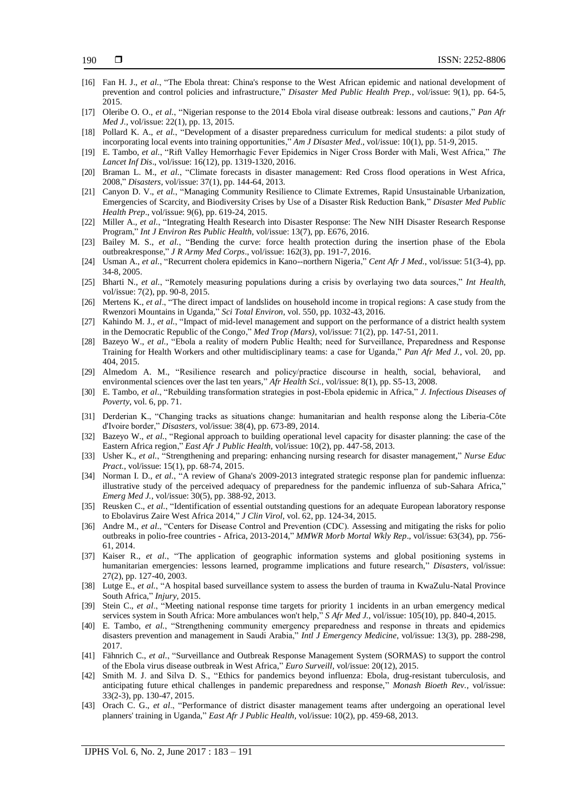- [16] Fan H. J., *et al.*, ["The Ebola threat: China's response to the West African epidemic and national development of](https://www.ncbi.nlm.nih.gov/pubmed/25563862) [prevention and control policies and infrastructure,"](https://www.ncbi.nlm.nih.gov/pubmed/25563862) *Disaster Med Public Health Prep.*, vol/issue: 9(1), pp. 64-5, 2015.
- [17] Oleribe O. O., *et al.*, ["Nigerian response to the 2014 Ebola viral disease outbreak: lessons and cautions,"](https://www.ncbi.nlm.nih.gov/pubmed/26740841) *Pan Afr Med J.*, vol/issue: 22(1), pp. 13, 2015.
- [18] Pollard K. A., *et al.*, ["Development of a disaster preparedness curriculum for medical students: a pilot study of](https://www.ncbi.nlm.nih.gov/pubmed/26102045) [incorporating local events into training opportunities,](https://www.ncbi.nlm.nih.gov/pubmed/26102045)" *Am J Disaster Med*., vol/issue: 10(1), pp. 51-9, 2015.
- [19] E. Tambo, *et al.*, "Rift Valley Hemorrhagic Fever Epidemics in Niger Cross Border with Mali, West Africa," *The Lancet Inf Dis*., vol/issue: 16(12), pp. 1319-1320, 2016.
- [20] Braman L. M., *et al.*, ["Climate forecasts in disaster management: Red Cross flood operations in West Africa,](https://www.ncbi.nlm.nih.gov/pubmed/23066755) [2008,"](https://www.ncbi.nlm.nih.gov/pubmed/23066755) *Disasters,* vol/issue: 37(1), pp. 144-64, 2013.
- [21] Canyon D. V., *et al.*, ["Managing Community Resilience to Climate Extremes, Rapid Unsustainable Urbanization,](https://www.ncbi.nlm.nih.gov/pubmed/26481330) Emergencies [of Scarcity, and Biodiversity Crises by Use of a Disaster Risk Reduction Bank,"](https://www.ncbi.nlm.nih.gov/pubmed/26481330) *Disaster Med Public Health Prep*., vol/issue: 9(6), pp. 619-24, 2015.
- [22] Miller A., *et al.*, ["Integrating Health Research into Disaster Response: The New NIH Disaster Research Response](https://www.ncbi.nlm.nih.gov/pubmed/27384574) [Program,"](https://www.ncbi.nlm.nih.gov/pubmed/27384574) *Int J Environ Res Public Health,* vol/issue: 13(7), pp. E676, 2016.
- [23] Bailey M. S., *et al.*, ["Bending the curve: force health protection during the insertion phase of the Ebola](https://www.ncbi.nlm.nih.gov/pubmed/26036821) [outbreakresponse,"](https://www.ncbi.nlm.nih.gov/pubmed/26036821) *J R Army Med Corps*., vol/issue: 162(3), pp. 191-7, 2016.
- [24] Usman A., *et al.*, ["Recurrent cholera epidemics in Kano--northern Nigeria,](https://www.ncbi.nlm.nih.gov/pubmed/17892230)" *Cent Afr J Med.*, vol/issue: 51(3-4), pp. 34-8, 2005.
- [25] Bharti N., *et al.*, "Remotely measuring populations during a crisis by overlaying two data sources," *Int Health,* vol/issue: 7(2), pp. 90-8, 2015.
- [26] Mertens K., *et al.*, ["The direct impact of landslides on household income in tropical regions: A case study from the](https://www.ncbi.nlm.nih.gov/pubmed/26855356) [Rwenzori Mountains in Uganda,"](https://www.ncbi.nlm.nih.gov/pubmed/26855356) *Sci Total Environ,* vol. 550, pp. 1032-43, 2016.
- [27] Kahindo M. J., *et al.*, ["Impact of mid-level management and support on the performance of a district health system](https://www.ncbi.nlm.nih.gov/pubmed/21695871) [in the Democratic Republic of the Congo,](https://www.ncbi.nlm.nih.gov/pubmed/21695871)" *Med Trop (Mars),* vol/issue: 71(2), pp. 147-51, 2011.
- [28] Bazeyo W., *et al.*, ["Ebola a reality of modern Public Health; need for Surveillance, Preparedness and Response](https://www.ncbi.nlm.nih.gov/pubmed/26301008) [Training for Health Workers and other multidisciplinary teams: a case for Uganda,"](https://www.ncbi.nlm.nih.gov/pubmed/26301008) *Pan Afr Med J.*, vol. 20, pp. 404, 2015.
- [29] Almedom A. M., ["Resilience research and policy/practice discourse in health, social, behavioral, and](https://www.ncbi.nlm.nih.gov/pubmed/21448375) [environmental sciences over the last ten years,"](https://www.ncbi.nlm.nih.gov/pubmed/21448375) *Afr Health Sci.*, vol/issue: 8(1), pp. S5-13, 2008.
- [30] E. Tambo, *et al.*, "Rebuilding transformation strategies in post-Ebola epidemic in Africa," *J. Infectious Diseases of Poverty,* vol. 6, pp. 71.
- [31] Derderian K., "Changing tracks as situations change: humanitarian and health response along the Liberia-Côte d'Ivoire border," *Disasters,* vol/issue: 38(4), pp. 673-89, 2014.
- [32] Bazeyo W., *et al.*, ["Regional approach to building operational level capacity for disaster planning: the case of the](https://www.ncbi.nlm.nih.gov/pubmed/25130025) [Eastern Africa region,](https://www.ncbi.nlm.nih.gov/pubmed/25130025)" *East Afr J Public Health,* vol/issue: 10(2), pp. 447-58, 2013.
- [33] Usher K., *et al.*, ["Strengthening and preparing: enhancing nursing research](https://www.ncbi.nlm.nih.gov/pubmed/24703706) for disaster management," *Nurse Educ Pract.*, vol/issue: 15(1), pp. 68-74, 2015.
- [34] Norman I. D., *et al.*, ["A review of Ghana's 2009-2013 integrated strategic response plan for pandemic influenza:](http://www.ncbi.nlm.nih.gov/pubmed/22843551) [illustrative study of the perceived adequacy of preparedness for the pandemic influenza of sub-Sahara Africa,"](http://www.ncbi.nlm.nih.gov/pubmed/22843551) *Emerg Med J.*, vol/issue: 30(5), pp. 388-92, 2013.
- [35] Reusken C., *et al.*, ["Identification of essential outstanding questions for an adequate European laboratory response](http://www.ncbi.nlm.nih.gov/pubmed/25692204) [to Ebolavirus Zaire West Africa 2014,"](http://www.ncbi.nlm.nih.gov/pubmed/25692204) *J Clin Virol,* vol. 62, pp. 124-34, 2015.
- [36] Andre M., *et al.*, "Centers for Disease Control and Prevention (CDC). [Assessing and mitigating the risks for polio](http://www.ncbi.nlm.nih.gov/pubmed/25166927) [outbreaks in polio-free countries -](http://www.ncbi.nlm.nih.gov/pubmed/25166927) Africa, 2013-2014," *MMWR Morb Mortal Wkly Rep*., vol/issue: 63(34), pp. 756- 61, 2014.
- [37] Kaiser R., *et al.*, ["The application of geographic information systems and global positioning systems in](http://www.ncbi.nlm.nih.gov/pubmed/12825436) humanitarian [emergencies: lessons learned, programme implications and future research,"](http://www.ncbi.nlm.nih.gov/pubmed/12825436) *Disasters,* vol/issue: 27(2), pp. 127-40, 2003.
- [38] Lutge E., *et al.*, ["A hospital based surveillance system to assess the burden of trauma in KwaZulu-Natal Province](http://www.ncbi.nlm.nih.gov/pubmed/26363572) [South Africa,"](http://www.ncbi.nlm.nih.gov/pubmed/26363572) *Injury,* 2015.
- [39] Stein C., *et al*., ["Meeting national response time targets for priority 1 incidents in an urban emergency medical](http://www.ncbi.nlm.nih.gov/pubmed/26428589) [services system in South Africa: More ambulances won't help,"](http://www.ncbi.nlm.nih.gov/pubmed/26428589) *S Afr Med J.*, vol/issue: 105(10), pp. 840-4,2015.
- [40] E. Tambo, *et al.*, "Strengthening community emergency preparedness and response in threats and epidemics disasters prevention and management in Saudi Arabia," *Intl J Emergency Medicine*, vol/issue: 13(3), pp. 288-298, 2017.
- [41] Fähnrich C., *et al.*, ["Surveillance and Outbreak Response Management System \(SORMAS\) to support the control](http://www.ncbi.nlm.nih.gov/pubmed/25846493) [of the Ebola virus disease outbreak in West Africa,"](http://www.ncbi.nlm.nih.gov/pubmed/25846493) *Euro Surveill,* vol/issue: 20(12), 2015.
- [42] Smith M. J. and Silva D. S., ["Ethics for pandemics beyond influenza: Ebola, drug-resistant tuberculosis, and](http://www.ncbi.nlm.nih.gov/pubmed/26507138) [anticipating future ethical challenges in pandemic preparedness and response,"](http://www.ncbi.nlm.nih.gov/pubmed/26507138) *Monash Bioeth Rev.*, vol/issue: 33(2-3), pp. 130-47, 2015.
- [43] Orach C. G., *et al*., ["Performance of district disaster management teams after undergoing an operational level](http://www.ncbi.nlm.nih.gov/pubmed/25130026) [planners' training in Uganda,"](http://www.ncbi.nlm.nih.gov/pubmed/25130026) *East Afr J Public Health,* vol/issue: 10(2), pp. 459-68, 2013.